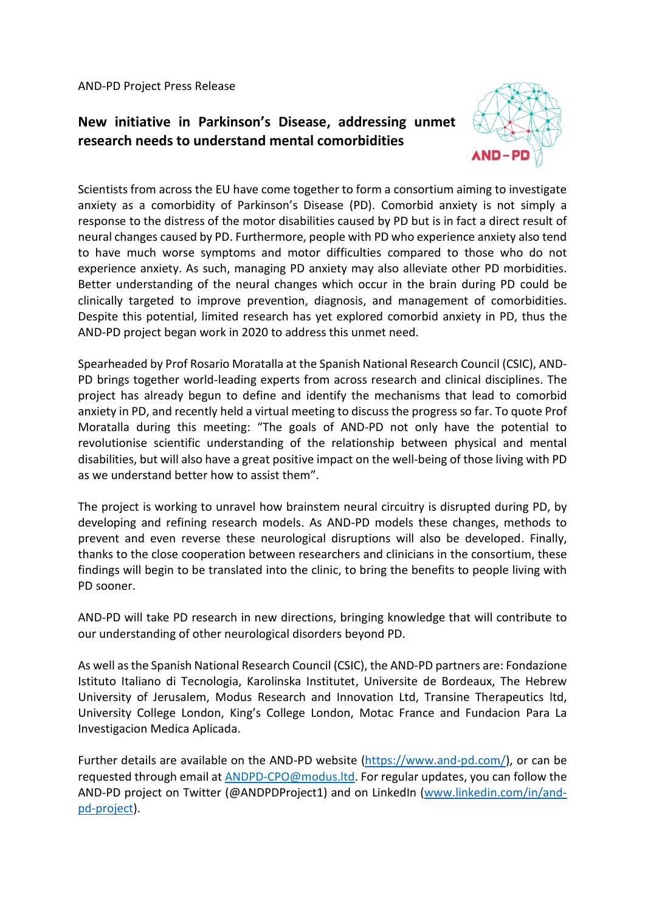AND-PD Project Press Release

## **New initiative in Parkinson's Disease, addressing unmet research needs to understand mental comorbidities**



Scientists from across the EU have come together to form a consortium aiming to investigate anxiety as a comorbidity of Parkinson's Disease (PD). Comorbid anxiety is not simply a response to the distress of the motor disabilities caused by PD but is in fact a direct result of neural changes caused by PD. Furthermore, people with PD who experience anxiety also tend to have much worse symptoms and motor difficulties compared to those who do not experience anxiety. As such, managing PD anxiety may also alleviate other PD morbidities. Better understanding of the neural changes which occur in the brain during PD could be clinically targeted to improve prevention, diagnosis, and management of comorbidities. Despite this potential, limited research has yet explored comorbid anxiety in PD, thus the AND-PD project began work in 2020 to address this unmet need.

Spearheaded by Prof Rosario Moratalla at the Spanish National Research Council (CSIC), AND-PD brings together world-leading experts from across research and clinical disciplines. The project has already begun to define and identify the mechanisms that lead to comorbid anxiety in PD, and recently held a virtual meeting to discuss the progress so far. To quote Prof Moratalla during this meeting: "The goals of AND-PD not only have the potential to revolutionise scientific understanding of the relationship between physical and mental disabilities, but will also have a great positive impact on the well-being of those living with PD as we understand better how to assist them".

The project is working to unravel how brainstem neural circuitry is disrupted during PD, by developing and refining research models. As AND-PD models these changes, methods to prevent and even reverse these neurological disruptions will also be developed. Finally, thanks to the close cooperation between researchers and clinicians in the consortium, these findings will begin to be translated into the clinic, to bring the benefits to people living with PD sooner.

AND-PD will take PD research in new directions, bringing knowledge that will contribute to our understanding of other neurological disorders beyond PD.

As well as the Spanish National Research Council (CSIC), the AND-PD partners are: Fondazione Istituto Italiano di Tecnologia, Karolinska Institutet, Universite de Bordeaux, The Hebrew University of Jerusalem, Modus Research and Innovation Ltd, Transine Therapeutics ltd, University College London, King's College London, Motac France and Fundacion Para La Investigacion Medica Aplicada.

Further details are available on the AND-PD website [\(https://www.and-pd.com/\)](https://www.and-pd.com/), or can be requested through email a[t ANDPD-CPO@modus.ltd.](mailto:ANDPD-CPO@modus.ltd) For regular updates, you can follow the AND-PD project on Twitter (@ANDPDProject1) and on LinkedIn [\(www.linkedin.com/in/and](http://www.linkedin.com/in/and-pd-project)[pd-project\)](http://www.linkedin.com/in/and-pd-project).